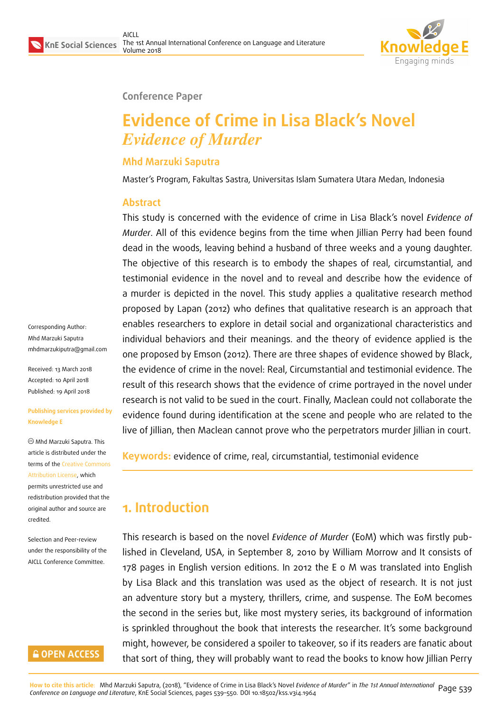

#### **Conference Paper**

# **Evidence of Crime in Lisa Black's Novel** *Evidence of Murder*

### **Mhd Marzuki Saputra**

Master's Program, Fakultas Sastra, Universitas Islam Sumatera Utara Medan, Indonesia

#### **Abstract**

This study is concerned with the evidence of crime in Lisa Black's novel *Evidence of Murder*. All of this evidence begins from the time when Jillian Perry had been found dead in the woods, leaving behind a husband of three weeks and a young daughter. The objective of this research is to embody the shapes of real, circumstantial, and testimonial evidence in the novel and to reveal and describe how the evidence of a murder is depicted in the novel. This study applies a qualitative research method proposed by Lapan (2012) who defines that qualitative research is an approach that enables researchers to explore in detail social and organizational characteristics and individual behaviors and their meanings. and the theory of evidence applied is the one proposed by Emson (2012). There are three shapes of evidence showed by Black, the evidence of crime in the novel: Real, Circumstantial and testimonial evidence. The result of this research shows that the evidence of crime portrayed in the novel under research is not valid to be sued in the court. Finally, Maclean could not collaborate the evidence found during identification at the scene and people who are related to the live of Jillian, then Maclean cannot prove who the perpetrators murder Jillian in court.

**Keywords:** evidence of crime, real, circumstantial, testimonial evidence

## **1. Introduction**

This research is based on the novel *Evidence of Murder* (EoM) which was firstly published in Cleveland, USA, in September 8, 2010 by William Morrow and It consists of 178 pages in English version editions. In 2012 the E o M was translated into English by Lisa Black and this translation was used as the object of research. It is not just an adventure story but a mystery, thrillers, crime, and suspense. The EoM becomes the second in the series but, like most mystery series, its background of information is sprinkled throughout the book that interests the researcher. It's some background might, however, be considered a spoiler to takeover, so if its readers are fanatic about that sort of thing, they will probably want to read the books to know how Jillian Perry

Corresponding Author: Mhd Marzuki Saputra mhdmarzukiputra@gmail.com

Received: 13 March 2018 Accepted: 10 April 2018 [Published: 19 April 2018](mailto:mhdmarzukiputra@gmail.com)

#### **Publishing services provided by Knowledge E**

Mhd Marzuki Saputra. This article is distributed under the terms of the Creative Commons Attribution License, which permits unrestricted use and redistribution provided that the original auth[or and source are](https://creativecommons.org/licenses/by/4.0/) [credited.](https://creativecommons.org/licenses/by/4.0/)

Selection and Peer-review under the responsibility of the AICLL Conference Committee.

## **GOPEN ACCESS**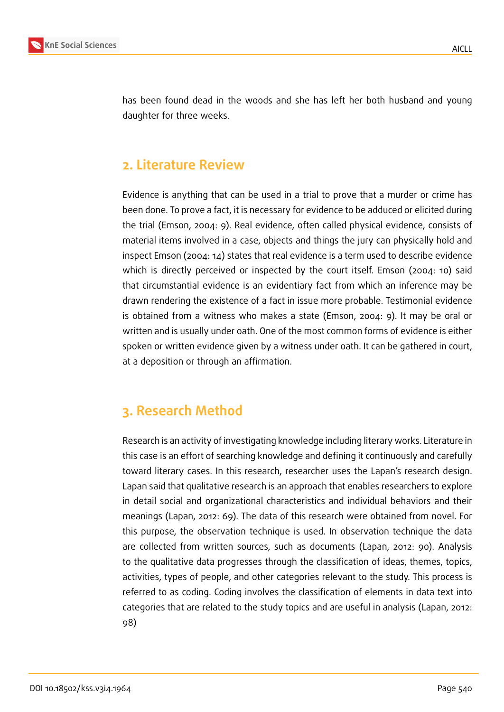

has been found dead in the woods and she has left her both husband and young daughter for three weeks.

## **2. Literature Review**

Evidence is anything that can be used in a trial to prove that a murder or crime has been done. To prove a fact, it is necessary for evidence to be adduced or elicited during the trial (Emson, 2004: 9). Real evidence, often called physical evidence, consists of material items involved in a case, objects and things the jury can physically hold and inspect Emson (2004: 14) states that real evidence is a term used to describe evidence which is directly perceived or inspected by the court itself. Emson (2004: 10) said that circumstantial evidence is an evidentiary fact from which an inference may be drawn rendering the existence of a fact in issue more probable. Testimonial evidence is obtained from a witness who makes a state (Emson, 2004: 9). It may be oral or written and is usually under oath. One of the most common forms of evidence is either spoken or written evidence given by a witness under oath. It can be gathered in court, at a deposition or through an affirmation.

## **3. Research Method**

Research is an activity of investigating knowledge including literary works. Literature in this case is an effort of searching knowledge and defining it continuously and carefully toward literary cases. In this research, researcher uses the Lapan's research design. Lapan said that qualitative research is an approach that enables researchers to explore in detail social and organizational characteristics and individual behaviors and their meanings (Lapan, 2012: 69). The data of this research were obtained from novel. For this purpose, the observation technique is used. In observation technique the data are collected from written sources, such as documents (Lapan, 2012: 90). Analysis to the qualitative data progresses through the classification of ideas, themes, topics, activities, types of people, and other categories relevant to the study. This process is referred to as coding. Coding involves the classification of elements in data text into categories that are related to the study topics and are useful in analysis (Lapan, 2012: 98)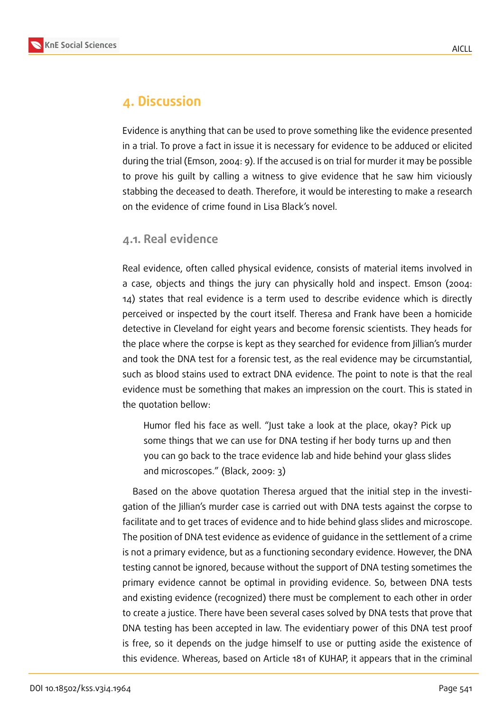

## **4. Discussion**

Evidence is anything that can be used to prove something like the evidence presented in a trial. To prove a fact in issue it is necessary for evidence to be adduced or elicited during the trial (Emson, 2004: 9). If the accused is on trial for murder it may be possible to prove his guilt by calling a witness to give evidence that he saw him viciously stabbing the deceased to death. Therefore, it would be interesting to make a research on the evidence of crime found in Lisa Black's novel.

#### **4.1. Real evidence**

Real evidence, often called physical evidence, consists of material items involved in a case, objects and things the jury can physically hold and inspect. Emson (2004: 14) states that real evidence is a term used to describe evidence which is directly perceived or inspected by the court itself. Theresa and Frank have been a homicide detective in Cleveland for eight years and become forensic scientists. They heads for the place where the corpse is kept as they searched for evidence from Jillian's murder and took the DNA test for a forensic test, as the real evidence may be circumstantial, such as blood stains used to extract DNA evidence. The point to note is that the real evidence must be something that makes an impression on the court. This is stated in the quotation bellow:

Humor fled his face as well. "Just take a look at the place, okay? Pick up some things that we can use for DNA testing if her body turns up and then you can go back to the trace evidence lab and hide behind your glass slides and microscopes." (Black, 2009: 3)

Based on the above quotation Theresa argued that the initial step in the investigation of the Jillian's murder case is carried out with DNA tests against the corpse to facilitate and to get traces of evidence and to hide behind glass slides and microscope. The position of DNA test evidence as evidence of guidance in the settlement of a crime is not a primary evidence, but as a functioning secondary evidence. However, the DNA testing cannot be ignored, because without the support of DNA testing sometimes the primary evidence cannot be optimal in providing evidence. So, between DNA tests and existing evidence (recognized) there must be complement to each other in order to create a justice. There have been several cases solved by DNA tests that prove that DNA testing has been accepted in law. The evidentiary power of this DNA test proof is free, so it depends on the judge himself to use or putting aside the existence of this evidence. Whereas, based on Article 181 of KUHAP, it appears that in the criminal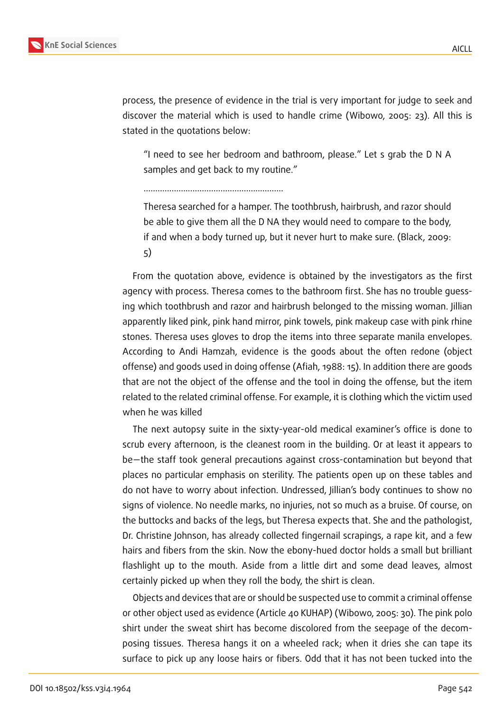

process, the presence of evidence in the trial is very important for judge to seek and discover the material which is used to handle crime (Wibowo, 2005: 23). All this is stated in the quotations below:

"I need to see her bedroom and bathroom, please." Let s grab the D N A samples and get back to my routine."

……………………………………………………

Theresa searched for a hamper. The toothbrush, hairbrush, and razor should be able to give them all the D NA they would need to compare to the body, if and when a body turned up, but it never hurt to make sure. (Black, 2009: 5)

From the quotation above, evidence is obtained by the investigators as the first agency with process. Theresa comes to the bathroom first. She has no trouble guessing which toothbrush and razor and hairbrush belonged to the missing woman. Jillian apparently liked pink, pink hand mirror, pink towels, pink makeup case with pink rhine stones. Theresa uses gloves to drop the items into three separate manila envelopes. According to Andi Hamzah, evidence is the goods about the often redone (object offense) and goods used in doing offense (Afiah, 1988: 15). In addition there are goods that are not the object of the offense and the tool in doing the offense, but the item related to the related criminal offense. For example, it is clothing which the victim used when he was killed

The next autopsy suite in the sixty-year-old medical examiner's office is done to scrub every afternoon, is the cleanest room in the building. Or at least it appears to be—the staff took general precautions against cross-contamination but beyond that places no particular emphasis on sterility. The patients open up on these tables and do not have to worry about infection. Undressed, Jillian's body continues to show no signs of violence. No needle marks, no injuries, not so much as a bruise. Of course, on the buttocks and backs of the legs, but Theresa expects that. She and the pathologist, Dr. Christine Johnson, has already collected fingernail scrapings, a rape kit, and a few hairs and fibers from the skin. Now the ebony-hued doctor holds a small but brilliant flashlight up to the mouth. Aside from a little dirt and some dead leaves, almost certainly picked up when they roll the body, the shirt is clean.

Objects and devices that are or should be suspected use to commit a criminal offense or other object used as evidence (Article 40 KUHAP) (Wibowo, 2005: 30). The pink polo shirt under the sweat shirt has become discolored from the seepage of the decomposing tissues. Theresa hangs it on a wheeled rack; when it dries she can tape its surface to pick up any loose hairs or fibers. Odd that it has not been tucked into the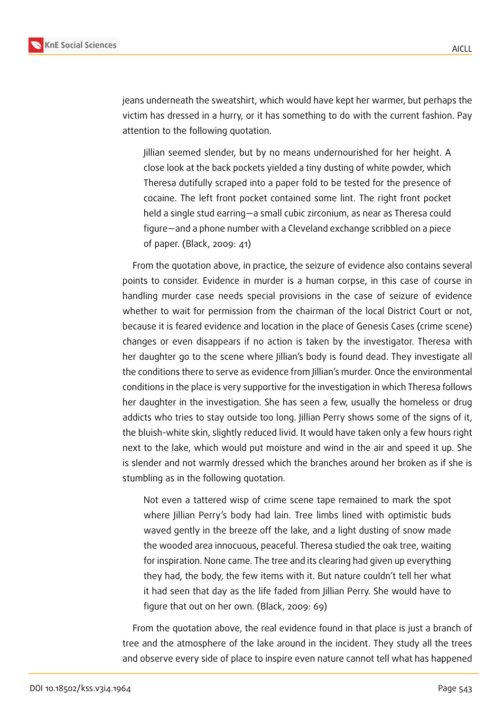

jeans underneath the sweatshirt, which would have kept her warmer, but perhaps the victim has dressed in a hurry, or it has something to do with the current fashion. Pay attention to the following quotation.

Jillian seemed slender, but by no means undernourished for her height. A close look at the back pockets yielded a tiny dusting of white powder, which Theresa dutifully scraped into a paper fold to be tested for the presence of cocaine. The left front pocket contained some lint. The right front pocket held a single stud earring—a small cubic zirconium, as near as Theresa could figure—and a phone number with a Cleveland exchange scribbled on a piece of paper. (Black, 2009: 41)

From the quotation above, in practice, the seizure of evidence also contains several points to consider. Evidence in murder is a human corpse, in this case of course in handling murder case needs special provisions in the case of seizure of evidence whether to wait for permission from the chairman of the local District Court or not, because it is feared evidence and location in the place of Genesis Cases (crime scene) changes or even disappears if no action is taken by the investigator. Theresa with her daughter go to the scene where Jillian's body is found dead. They investigate all the conditions there to serve as evidence from Jillian's murder. Once the environmental conditions in the place is very supportive for the investigation in which Theresa follows her daughter in the investigation. She has seen a few, usually the homeless or drug addicts who tries to stay outside too long. Jillian Perry shows some of the signs of it, the bluish-white skin, slightly reduced livid. It would have taken only a few hours right next to the lake, which would put moisture and wind in the air and speed it up. She is slender and not warmly dressed which the branches around her broken as if she is stumbling as in the following quotation.

Not even a tattered wisp of crime scene tape remained to mark the spot where Jillian Perry's body had lain. Tree limbs lined with optimistic buds waved gently in the breeze off the lake, and a light dusting of snow made the wooded area innocuous, peaceful. Theresa studied the oak tree, waiting for inspiration. None came. The tree and its clearing had given up everything they had, the body, the few items with it. But nature couldn't tell her what it had seen that day as the life faded from Jillian Perry. She would have to figure that out on her own. (Black, 2009: 69)

From the quotation above, the real evidence found in that place is just a branch of tree and the atmosphere of the lake around in the incident. They study all the trees and observe every side of place to inspire even nature cannot tell what has happened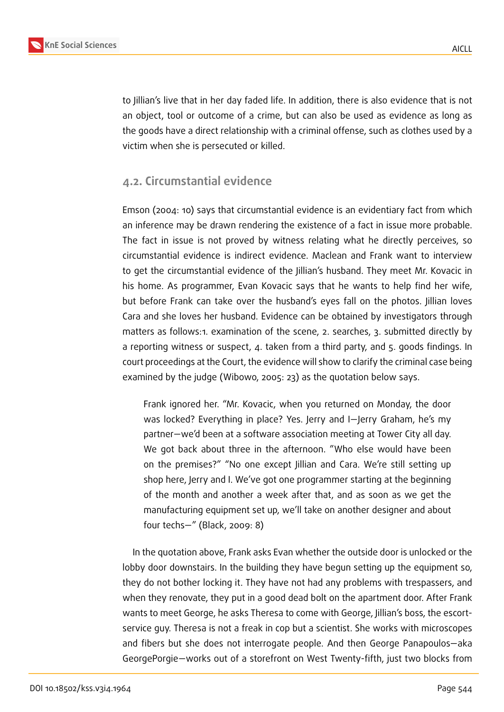

to Jillian's live that in her day faded life. In addition, there is also evidence that is not an object, tool or outcome of a crime, but can also be used as evidence as long as the goods have a direct relationship with a criminal offense, such as clothes used by a victim when she is persecuted or killed.

### **4.2. Circumstantial evidence**

Emson (2004: 10) says that circumstantial evidence is an evidentiary fact from which an inference may be drawn rendering the existence of a fact in issue more probable. The fact in issue is not proved by witness relating what he directly perceives, so circumstantial evidence is indirect evidence. Maclean and Frank want to interview to get the circumstantial evidence of the Jillian's husband. They meet Mr. Kovacic in his home. As programmer, Evan Kovacic says that he wants to help find her wife, but before Frank can take over the husband's eyes fall on the photos. Jillian loves Cara and she loves her husband. Evidence can be obtained by investigators through matters as follows:1. examination of the scene, 2. searches, 3. submitted directly by a reporting witness or suspect, 4. taken from a third party, and 5. goods findings. In court proceedings at the Court, the evidence will show to clarify the criminal case being examined by the judge (Wibowo, 2005: 23) as the quotation below says.

Frank ignored her. "Mr. Kovacic, when you returned on Monday, the door was locked? Everything in place? Yes. Jerry and I—Jerry Graham, he's my partner—we'd been at a software association meeting at Tower City all day. We got back about three in the afternoon. "Who else would have been on the premises?" "No one except Jillian and Cara. We're still setting up shop here, Jerry and I. We've got one programmer starting at the beginning of the month and another a week after that, and as soon as we get the manufacturing equipment set up, we'll take on another designer and about four techs—" (Black, 2009: 8)

In the quotation above, Frank asks Evan whether the outside door is unlocked or the lobby door downstairs. In the building they have begun setting up the equipment so, they do not bother locking it. They have not had any problems with trespassers, and when they renovate, they put in a good dead bolt on the apartment door. After Frank wants to meet George, he asks Theresa to come with George, Jillian's boss, the escortservice guy. Theresa is not a freak in cop but a scientist. She works with microscopes and fibers but she does not interrogate people. And then George Panapoulos—aka GeorgePorgie—works out of a storefront on West Twenty-fifth, just two blocks from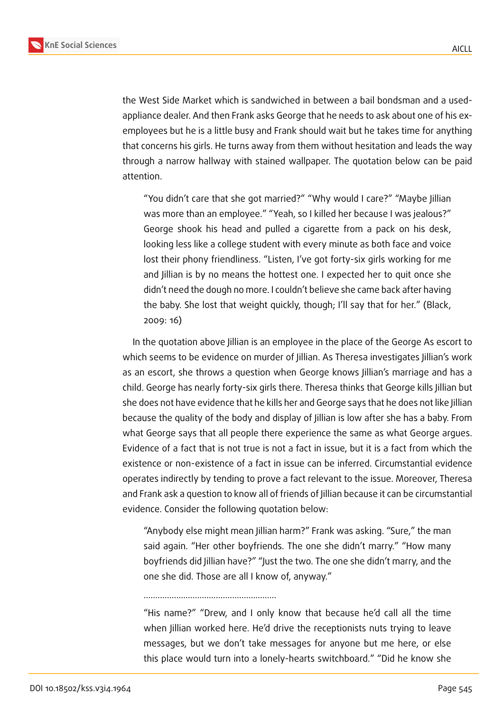

the West Side Market which is sandwiched in between a bail bondsman and a usedappliance dealer. And then Frank asks George that he needs to ask about one of his exemployees but he is a little busy and Frank should wait but he takes time for anything that concerns his girls. He turns away from them without hesitation and leads the way through a narrow hallway with stained wallpaper. The quotation below can be paid attention.

"You didn't care that she got married?" "Why would I care?" "Maybe Jillian was more than an employee." "Yeah, so I killed her because I was jealous?" George shook his head and pulled a cigarette from a pack on his desk, looking less like a college student with every minute as both face and voice lost their phony friendliness. "Listen, I've got forty-six girls working for me and Jillian is by no means the hottest one. I expected her to quit once she didn't need the dough no more. I couldn't believe she came back after having the baby. She lost that weight quickly, though; I'll say that for her." (Black, 2009: 16)

In the quotation above Jillian is an employee in the place of the George As escort to which seems to be evidence on murder of Jillian. As Theresa investigates Jillian's work as an escort, she throws a question when George knows Jillian's marriage and has a child. George has nearly forty-six girls there. Theresa thinks that George kills Jillian but she does not have evidence that he kills her and George says that he does not like Jillian because the quality of the body and display of Jillian is low after she has a baby. From what George says that all people there experience the same as what George argues. Evidence of a fact that is not true is not a fact in issue, but it is a fact from which the existence or non-existence of a fact in issue can be inferred. Circumstantial evidence operates indirectly by tending to prove a fact relevant to the issue. Moreover, Theresa and Frank ask a question to know all of friends of Jillian because it can be circumstantial evidence. Consider the following quotation below:

"Anybody else might mean Jillian harm?" Frank was asking. "Sure," the man said again. "Her other boyfriends. The one she didn't marry." "How many boyfriends did Jillian have?" "Just the two. The one she didn't marry, and the one she did. Those are all I know of, anyway."

…………………………………………………

"His name?" "Drew, and I only know that because he'd call all the time when Jillian worked here. He'd drive the receptionists nuts trying to leave messages, but we don't take messages for anyone but me here, or else this place would turn into a lonely-hearts switchboard." "Did he know she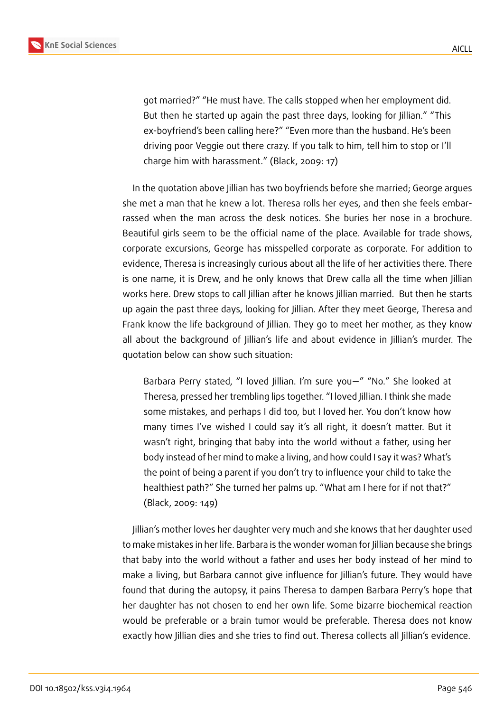

got married?" "He must have. The calls stopped when her employment did. But then he started up again the past three days, looking for Jillian." "This ex-boyfriend's been calling here?" "Even more than the husband. He's been driving poor Veggie out there crazy. If you talk to him, tell him to stop or I'll charge him with harassment." (Black, 2009: 17)

In the quotation above Jillian has two boyfriends before she married; George argues she met a man that he knew a lot. Theresa rolls her eyes, and then she feels embarrassed when the man across the desk notices. She buries her nose in a brochure. Beautiful girls seem to be the official name of the place. Available for trade shows, corporate excursions, George has misspelled corporate as corporate. For addition to evidence, Theresa is increasingly curious about all the life of her activities there. There is one name, it is Drew, and he only knows that Drew calla all the time when Jillian works here. Drew stops to call Jillian after he knows Jillian married. But then he starts up again the past three days, looking for Jillian. After they meet George, Theresa and Frank know the life background of Jillian. They go to meet her mother, as they know all about the background of Jillian's life and about evidence in Jillian's murder. The quotation below can show such situation:

Barbara Perry stated, "I loved Jillian. I'm sure you—" "No." She looked at Theresa, pressed her trembling lips together. "I loved Jillian. I think she made some mistakes, and perhaps I did too, but I loved her. You don't know how many times I've wished I could say it's all right, it doesn't matter. But it wasn't right, bringing that baby into the world without a father, using her body instead of her mind to make a living, and how could I say it was? What's the point of being a parent if you don't try to influence your child to take the healthiest path?" She turned her palms up. "What am I here for if not that?" (Black, 2009: 149)

Jillian's mother loves her daughter very much and she knows that her daughter used to make mistakes in her life. Barbara is the wonder woman for Jillian because she brings that baby into the world without a father and uses her body instead of her mind to make a living, but Barbara cannot give influence for Jillian's future. They would have found that during the autopsy, it pains Theresa to dampen Barbara Perry's hope that her daughter has not chosen to end her own life. Some bizarre biochemical reaction would be preferable or a brain tumor would be preferable. Theresa does not know exactly how Jillian dies and she tries to find out. Theresa collects all Jillian's evidence.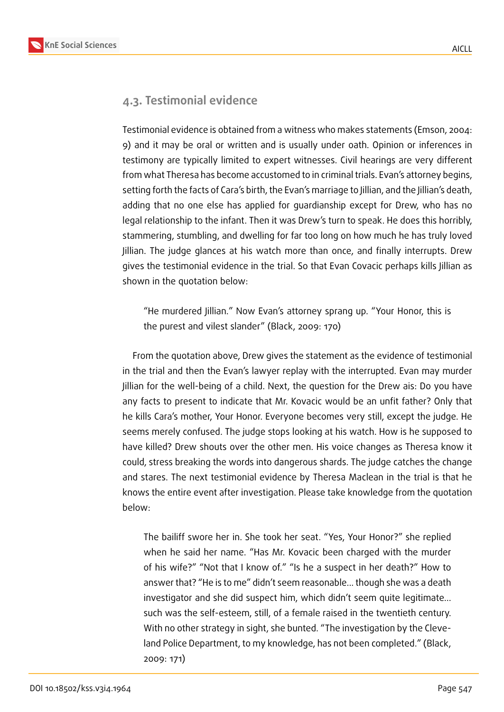## **4.3. Testimonial evidence**

Testimonial evidence is obtained from a witness who makes statements (Emson, 2004: 9) and it may be oral or written and is usually under oath. Opinion or inferences in testimony are typically limited to expert witnesses. Civil hearings are very different from what Theresa has become accustomed to in criminal trials. Evan's attorney begins, setting forth the facts of Cara's birth, the Evan's marriage to Jillian, and the Jillian's death, adding that no one else has applied for guardianship except for Drew, who has no legal relationship to the infant. Then it was Drew's turn to speak. He does this horribly, stammering, stumbling, and dwelling for far too long on how much he has truly loved Jillian. The judge glances at his watch more than once, and finally interrupts. Drew gives the testimonial evidence in the trial. So that Evan Covacic perhaps kills Jillian as shown in the quotation below:

"He murdered Jillian." Now Evan's attorney sprang up. "Your Honor, this is the purest and vilest slander" (Black, 2009: 170)

From the quotation above, Drew gives the statement as the evidence of testimonial in the trial and then the Evan's lawyer replay with the interrupted. Evan may murder Jillian for the well-being of a child. Next, the question for the Drew ais: Do you have any facts to present to indicate that Mr. Kovacic would be an unfit father? Only that he kills Cara's mother, Your Honor. Everyone becomes very still, except the judge. He seems merely confused. The judge stops looking at his watch. How is he supposed to have killed? Drew shouts over the other men. His voice changes as Theresa know it could, stress breaking the words into dangerous shards. The judge catches the change and stares. The next testimonial evidence by Theresa Maclean in the trial is that he knows the entire event after investigation. Please take knowledge from the quotation below:

The bailiff swore her in. She took her seat. "Yes, Your Honor?" she replied when he said her name. "Has Mr. Kovacic been charged with the murder of his wife?" "Not that I know of." "Is he a suspect in her death?" How to answer that? "He is to me" didn't seem reasonable... though she was a death investigator and she did suspect him, which didn't seem quite legitimate... such was the self-esteem, still, of a female raised in the twentieth century. With no other strategy in sight, she bunted. "The investigation by the Cleveland Police Department, to my knowledge, has not been completed." (Black, 2009: 171)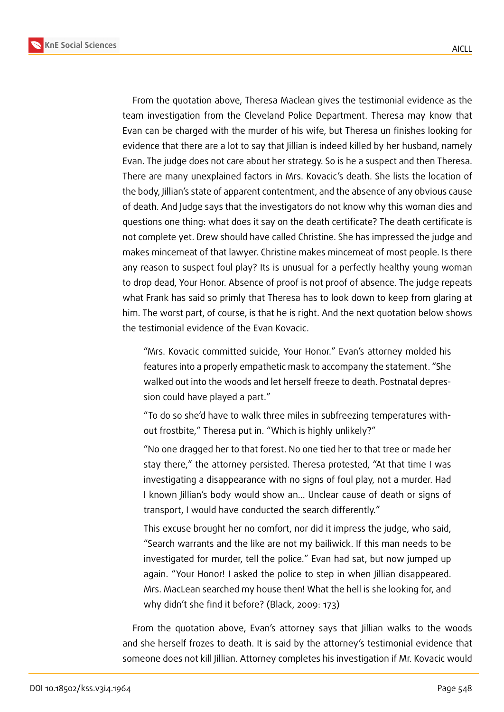

From the quotation above, Theresa Maclean gives the testimonial evidence as the team investigation from the Cleveland Police Department. Theresa may know that Evan can be charged with the murder of his wife, but Theresa un finishes looking for evidence that there are a lot to say that Jillian is indeed killed by her husband, namely Evan. The judge does not care about her strategy. So is he a suspect and then Theresa. There are many unexplained factors in Mrs. Kovacic's death. She lists the location of the body, Jillian's state of apparent contentment, and the absence of any obvious cause of death. And Judge says that the investigators do not know why this woman dies and questions one thing: what does it say on the death certificate? The death certificate is not complete yet. Drew should have called Christine. She has impressed the judge and makes mincemeat of that lawyer. Christine makes mincemeat of most people. Is there any reason to suspect foul play? Its is unusual for a perfectly healthy young woman to drop dead, Your Honor. Absence of proof is not proof of absence. The judge repeats what Frank has said so primly that Theresa has to look down to keep from glaring at him. The worst part, of course, is that he is right. And the next quotation below shows the testimonial evidence of the Evan Kovacic.

"Mrs. Kovacic committed suicide, Your Honor." Evan's attorney molded his features into a properly empathetic mask to accompany the statement. "She walked out into the woods and let herself freeze to death. Postnatal depression could have played a part."

"To do so she'd have to walk three miles in subfreezing temperatures without frostbite," Theresa put in. "Which is highly unlikely?"

"No one dragged her to that forest. No one tied her to that tree or made her stay there," the attorney persisted. Theresa protested, "At that time I was investigating a disappearance with no signs of foul play, not a murder. Had I known Jillian's body would show an... Unclear cause of death or signs of transport, I would have conducted the search differently."

This excuse brought her no comfort, nor did it impress the judge, who said, "Search warrants and the like are not my bailiwick. If this man needs to be investigated for murder, tell the police." Evan had sat, but now jumped up again. "Your Honor! I asked the police to step in when Jillian disappeared. Mrs. MacLean searched my house then! What the hell is she looking for, and why didn't she find it before? (Black, 2009: 173)

From the quotation above, Evan's attorney says that Jillian walks to the woods and she herself frozes to death. It is said by the attorney's testimonial evidence that someone does not kill Jillian. Attorney completes his investigation if Mr. Kovacic would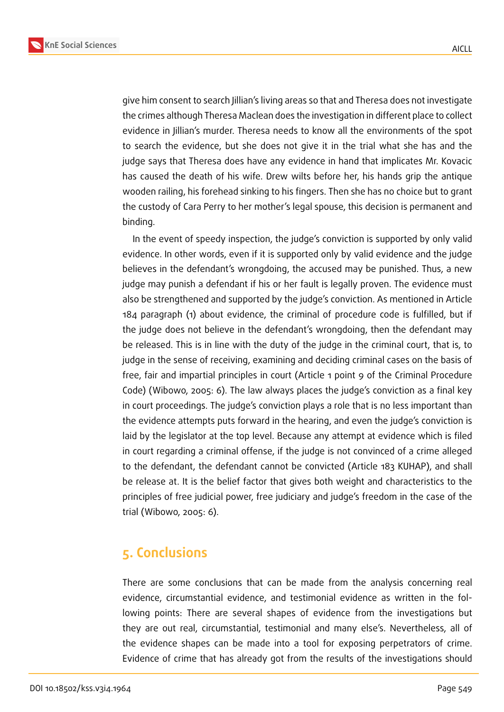**KnE Social Sciences**



give him consent to search Jillian's living areas so that and Theresa does not investigate the crimes although Theresa Maclean does the investigation in different place to collect evidence in Jillian's murder. Theresa needs to know all the environments of the spot to search the evidence, but she does not give it in the trial what she has and the judge says that Theresa does have any evidence in hand that implicates Mr. Kovacic has caused the death of his wife. Drew wilts before her, his hands grip the antique wooden railing, his forehead sinking to his fingers. Then she has no choice but to grant the custody of Cara Perry to her mother's legal spouse, this decision is permanent and binding.

In the event of speedy inspection, the judge's conviction is supported by only valid evidence. In other words, even if it is supported only by valid evidence and the judge believes in the defendant's wrongdoing, the accused may be punished. Thus, a new judge may punish a defendant if his or her fault is legally proven. The evidence must also be strengthened and supported by the judge's conviction. As mentioned in Article 184 paragraph (1) about evidence, the criminal of procedure code is fulfilled, but if the judge does not believe in the defendant's wrongdoing, then the defendant may be released. This is in line with the duty of the judge in the criminal court, that is, to judge in the sense of receiving, examining and deciding criminal cases on the basis of free, fair and impartial principles in court (Article 1 point 9 of the Criminal Procedure Code) (Wibowo, 2005: 6). The law always places the judge's conviction as a final key in court proceedings. The judge's conviction plays a role that is no less important than the evidence attempts puts forward in the hearing, and even the judge's conviction is laid by the legislator at the top level. Because any attempt at evidence which is filed in court regarding a criminal offense, if the judge is not convinced of a crime alleged to the defendant, the defendant cannot be convicted (Article 183 KUHAP), and shall be release at. It is the belief factor that gives both weight and characteristics to the principles of free judicial power, free judiciary and judge's freedom in the case of the trial (Wibowo, 2005: 6).

## **5. Conclusions**

There are some conclusions that can be made from the analysis concerning real evidence, circumstantial evidence, and testimonial evidence as written in the following points: There are several shapes of evidence from the investigations but they are out real, circumstantial, testimonial and many else's. Nevertheless, all of the evidence shapes can be made into a tool for exposing perpetrators of crime. Evidence of crime that has already got from the results of the investigations should